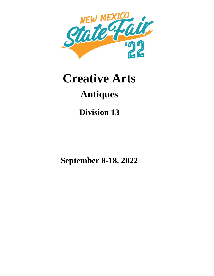

# **Creative Arts Antiques**

**Division 13**

**September 8-18, 2022**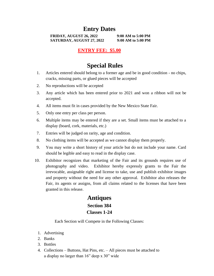## **Entry Dates**

**FRIDAY, AUGUST 26, 2022 9:00 AM to 5:00 PM SATURDAY, AUGUST 27, 2022 9:00 AM to 5:00 PM**

#### **ENTRY FEE: \$5.00**

## **Special Rules**

- 1. Articles entered should belong to a former age and be in good condition no chips, cracks, missing parts, or glued pieces will be accepted
- 2. No reproductions will be accepted
- 3. Any article which has been entered prior to 2021 and won a ribbon will not be accepted.
- 4. All items must fit in cases provided by the New Mexico State Fair.
- 5. Only one entry per class per person.
- 6. Multiple items may be entered if they are a set. Small items must be attached to a display (board, cork, materials, etc.)
- 7. Entries will be judged on rarity, age and condition.
- 8. No clothing items will be accepted as we cannot display them properly.
- 9. You may write a short history of your article but do not include your name. Card should be legible and easy to read in the display case.
- 10. Exhibitor recognizes that marketing of the Fair and its grounds requires use of photography and video. Exhibitor hereby expressly grants to the Fair the irrevocable, assignable right and license to take, use and publish exhibitor images and property without the need for any other approval. Exhibitor also releases the Fair, its agents or assigns, from all claims related to the licenses that have been granted in this release.

### **Antiques Section 384 Classes 1-24**

Each Section will Compete in the Following Classes:

- 1. Advertising
- 2. Banks
- 3. Bottles
- 4. Collections Buttons, Hat Pins, etc. All pieces must be attached to a display no larger than 16" deep x 30" wide